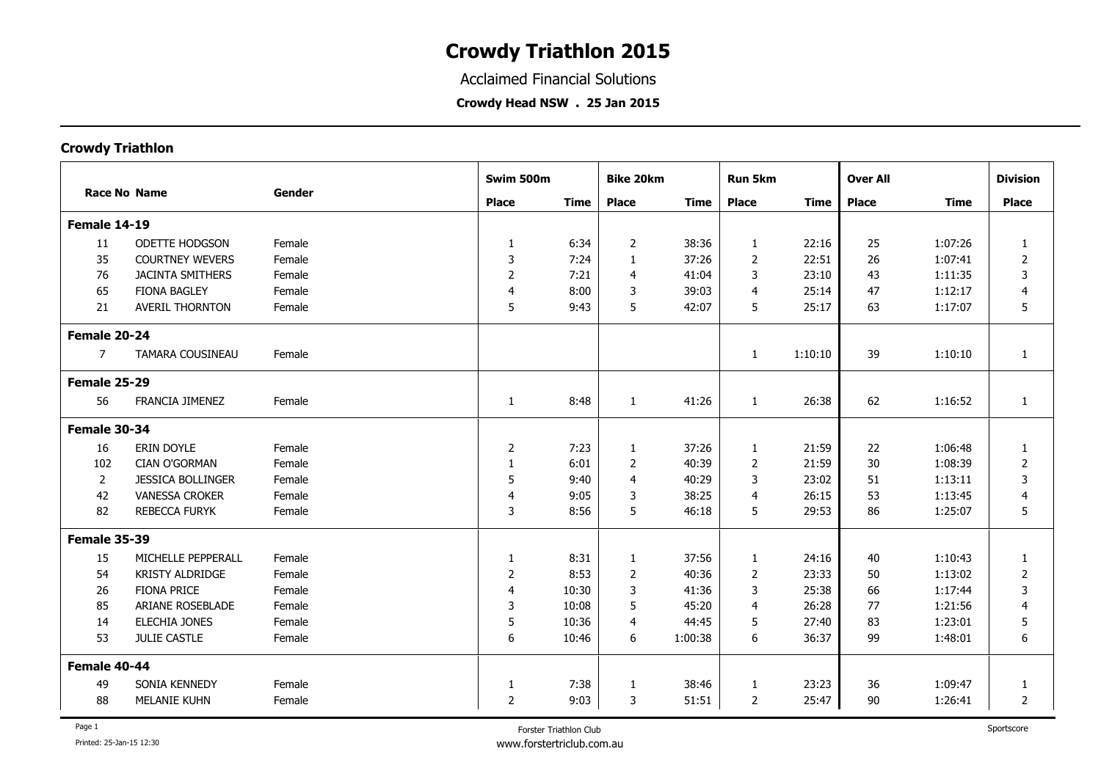Acclaimed Financial Solutions

**Crowdy Head NSW . 25 Jan 2015**

|                     |                          | Gender | Swim 500m      |             | <b>Bike 20km</b> |             | Run 5km        |             | <b>Over All</b> |             | <b>Division</b> |
|---------------------|--------------------------|--------|----------------|-------------|------------------|-------------|----------------|-------------|-----------------|-------------|-----------------|
| <b>Race No Name</b> |                          |        | <b>Place</b>   | <b>Time</b> | <b>Place</b>     | <b>Time</b> | <b>Place</b>   | <b>Time</b> | <b>Place</b>    | <b>Time</b> | <b>Place</b>    |
| Female 14-19        |                          |        |                |             |                  |             |                |             |                 |             |                 |
| 11                  | <b>ODETTE HODGSON</b>    | Female | $\mathbf{1}$   | 6:34        | 2                | 38:36       | 1              | 22:16       | 25              | 1:07:26     | $\mathbf{1}$    |
| 35                  | <b>COURTNEY WEVERS</b>   | Female | 3              | 7:24        | 1                | 37:26       | $\overline{2}$ | 22:51       | 26              | 1:07:41     | $\overline{2}$  |
| 76                  | <b>JACINTA SMITHERS</b>  | Female | $\overline{2}$ | 7:21        | 4                | 41:04       | 3              | 23:10       | 43              | 1:11:35     | 3               |
| 65                  | <b>FIONA BAGLEY</b>      | Female | 4              | 8:00        | 3                | 39:03       | $\overline{4}$ | 25:14       | 47              | 1:12:17     | 4               |
| 21                  | <b>AVERIL THORNTON</b>   | Female | 5              | 9:43        | 5                | 42:07       | 5              | 25:17       | 63              | 1:17:07     | 5               |
| Female 20-24        |                          |        |                |             |                  |             |                |             |                 |             |                 |
| $\overline{7}$      | TAMARA COUSINEAU         | Female |                |             |                  |             | 1              | 1:10:10     | 39              | 1:10:10     | $\mathbf{1}$    |
| Female 25-29        |                          |        |                |             |                  |             |                |             |                 |             |                 |
| 56                  | FRANCIA JIMENEZ          | Female | $\mathbf{1}$   | 8:48        | 1                | 41:26       | 1              | 26:38       | 62              | 1:16:52     | $\mathbf{1}$    |
| Female 30-34        |                          |        |                |             |                  |             |                |             |                 |             |                 |
| 16                  | ERIN DOYLE               | Female | $\overline{2}$ | 7:23        | 1                | 37:26       | $\mathbf{1}$   | 21:59       | 22              | 1:06:48     | 1               |
| 102                 | <b>CIAN O'GORMAN</b>     | Female | 1              | 6:01        | 2                | 40:39       | 2              | 21:59       | 30              | 1:08:39     | $\overline{2}$  |
| $\overline{2}$      | <b>JESSICA BOLLINGER</b> | Female | 5              | 9:40        | $\overline{4}$   | 40:29       | 3              | 23:02       | 51              | 1:13:11     | 3               |
| 42                  | <b>VANESSA CROKER</b>    | Female | 4              | 9:05        | 3                | 38:25       | 4              | 26:15       | 53              | 1:13:45     | $\overline{4}$  |
| 82                  | <b>REBECCA FURYK</b>     | Female | 3              | 8:56        | 5                | 46:18       | 5              | 29:53       | 86              | 1:25:07     | 5               |
| <b>Female 35-39</b> |                          |        |                |             |                  |             |                |             |                 |             |                 |
| 15                  | MICHELLE PEPPERALL       | Female | $\mathbf 1$    | 8:31        | $\mathbf{1}$     | 37:56       | $\mathbf{1}$   | 24:16       | 40              | 1:10:43     | $\mathbf{1}$    |
| 54                  | <b>KRISTY ALDRIDGE</b>   | Female | $\overline{2}$ | 8:53        | $\overline{2}$   | 40:36       | $\overline{2}$ | 23:33       | 50              | 1:13:02     | $\overline{2}$  |
| 26                  | <b>FIONA PRICE</b>       | Female | $\overline{4}$ | 10:30       | 3                | 41:36       | 3              | 25:38       | 66              | 1:17:44     | 3               |
| 85                  | ARIANE ROSEBLADE         | Female | 3              | 10:08       | 5                | 45:20       | 4              | 26:28       | 77              | 1:21:56     | 4               |
| 14                  | ELECHIA JONES            | Female | 5              | 10:36       | 4                | 44:45       | 5              | 27:40       | 83              | 1:23:01     | 5               |
| 53                  | <b>JULIE CASTLE</b>      | Female | 6              | 10:46       | 6                | 1:00:38     | 6              | 36:37       | 99              | 1:48:01     | 6               |
| Female 40-44        |                          |        |                |             |                  |             |                |             |                 |             |                 |
| 49                  | SONIA KENNEDY            | Female | $\mathbf{1}$   | 7:38        | 1                | 38:46       | 1              | 23:23       | 36              | 1:09:47     | $\mathbf{1}$    |
| 88                  | MELANIE KUHN             | Female | $\overline{2}$ | 9:03        | 3                | 51:51       | $\overline{2}$ | 25:47       | 90              | 1:26:41     | 2               |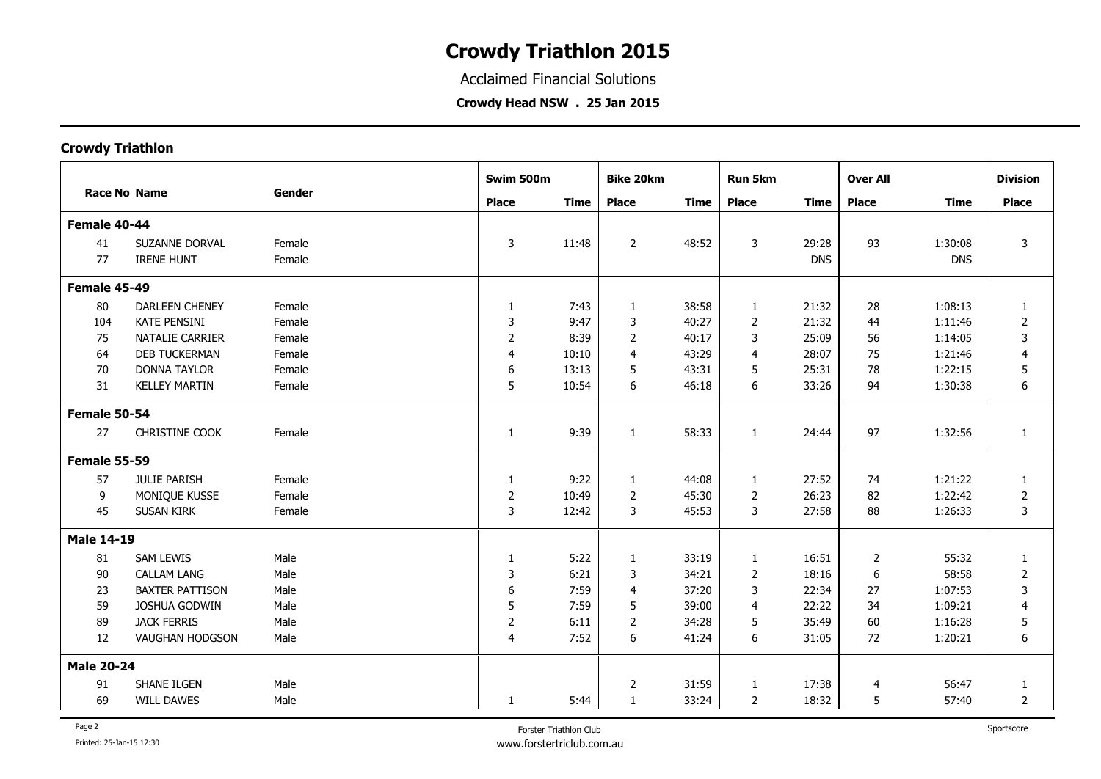Acclaimed Financial Solutions

**Crowdy Head NSW . 25 Jan 2015**

|                   |                        |        | Swim 500m      |             | <b>Bike 20km</b> |             | <b>Run 5km</b> | <b>Over All</b> |              |                                                                                                                                                             | <b>Division</b> |
|-------------------|------------------------|--------|----------------|-------------|------------------|-------------|----------------|-----------------|--------------|-------------------------------------------------------------------------------------------------------------------------------------------------------------|-----------------|
|                   | <b>Race No Name</b>    | Gender | <b>Place</b>   | <b>Time</b> | <b>Place</b>     | <b>Time</b> | <b>Place</b>   | <b>Time</b>     | <b>Place</b> | <b>Time</b><br>1:30:08<br><b>DNS</b><br>1:08:13<br>1:11:46<br>1:14:05<br>1:21:46<br>1:22:15<br>1:30:38<br>1:32:56<br>1:21:22<br>1:22:42<br>1:26:33<br>55:32 | <b>Place</b>    |
| Female 40-44      |                        |        |                |             |                  |             |                |                 |              |                                                                                                                                                             |                 |
| 41                | <b>SUZANNE DORVAL</b>  | Female | $\mathbf{3}$   | 11:48       | $\overline{2}$   | 48:52       | 3              | 29:28           | 93           |                                                                                                                                                             | $\overline{3}$  |
| 77                | <b>IRENE HUNT</b>      | Female |                |             |                  |             |                | <b>DNS</b>      |              |                                                                                                                                                             |                 |
| Female 45-49      |                        |        |                |             |                  |             |                |                 |              |                                                                                                                                                             |                 |
| 80                | <b>DARLEEN CHENEY</b>  | Female | $\mathbf{1}$   | 7:43        | $\mathbf{1}$     | 38:58       | $\mathbf{1}$   | 21:32           | 28           |                                                                                                                                                             | $\mathbf{1}$    |
| 104               | <b>KATE PENSINI</b>    | Female | 3              | 9:47        | $\mathsf 3$      | 40:27       | $\overline{2}$ | 21:32           | 44           |                                                                                                                                                             | $\overline{2}$  |
| 75                | NATALIE CARRIER        | Female | $\overline{2}$ | 8:39        | 2                | 40:17       | 3              | 25:09           | 56           |                                                                                                                                                             | 3               |
| 64                | <b>DEB TUCKERMAN</b>   | Female | $\overline{4}$ | 10:10       | 4                | 43:29       | 4              | 28:07           | 75           |                                                                                                                                                             | 4               |
| 70                | <b>DONNA TAYLOR</b>    | Female | 6              | 13:13       | 5                | 43:31       | 5              | 25:31           | 78           |                                                                                                                                                             | 5               |
| 31                | <b>KELLEY MARTIN</b>   | Female | 5              | 10:54       | 6                | 46:18       | 6              | 33:26           | 94           |                                                                                                                                                             | 6               |
| Female 50-54      |                        |        |                |             |                  |             |                |                 |              |                                                                                                                                                             |                 |
| 27                | CHRISTINE COOK         | Female | $\mathbf{1}$   | 9:39        | $\mathbf{1}$     | 58:33       | $\mathbf{1}$   | 24:44           | 97           |                                                                                                                                                             | $\mathbf{1}$    |
| Female 55-59      |                        |        |                |             |                  |             |                |                 |              |                                                                                                                                                             |                 |
| 57                | JULIE PARISH           | Female | $\mathbf{1}$   | 9:22        | 1                | 44:08       | 1              | 27:52           | 74           |                                                                                                                                                             | 1               |
| 9                 | MONIQUE KUSSE          | Female | $\sqrt{2}$     | 10:49       | $\overline{2}$   | 45:30       | $\overline{2}$ | 26:23           | 82           |                                                                                                                                                             | $\overline{2}$  |
| 45                | <b>SUSAN KIRK</b>      | Female | $\mathbf{3}$   | 12:42       | 3                | 45:53       | 3              | 27:58           | 88           |                                                                                                                                                             | 3               |
| <b>Male 14-19</b> |                        |        |                |             |                  |             |                |                 |              |                                                                                                                                                             |                 |
| 81                | SAM LEWIS              | Male   | $\mathbf{1}$   | 5:22        | $\mathbf{1}$     | 33:19       | $\mathbf{1}$   | 16:51           | 2            |                                                                                                                                                             | $\mathbf{1}$    |
| 90                | <b>CALLAM LANG</b>     | Male   | $\mathsf 3$    | 6:21        | 3                | 34:21       | $\overline{2}$ | 18:16           | 6            | 58:58                                                                                                                                                       | $\overline{2}$  |
| 23                | <b>BAXTER PATTISON</b> | Male   | 6              | 7:59        | $\overline{4}$   | 37:20       | 3              | 22:34           | 27           | 1:07:53                                                                                                                                                     | 3               |
| 59                | JOSHUA GODWIN          | Male   | 5              | 7:59        | 5                | 39:00       | 4              | 22:22           | 34           | 1:09:21                                                                                                                                                     | $\overline{4}$  |
| 89                | <b>JACK FERRIS</b>     | Male   | $\overline{c}$ | 6:11        | $\overline{2}$   | 34:28       | 5              | 35:49           | 60           | 1:16:28                                                                                                                                                     | 5               |
| 12                | <b>VAUGHAN HODGSON</b> | Male   | $\overline{4}$ | 7:52        | 6                | 41:24       | 6              | 31:05           | 72           | 1:20:21                                                                                                                                                     | 6               |
| <b>Male 20-24</b> |                        |        |                |             |                  |             |                |                 |              |                                                                                                                                                             |                 |
| 91                | SHANE ILGEN            | Male   |                |             | $\overline{2}$   | 31:59       | 1              | 17:38           | 4            | 56:47                                                                                                                                                       | 1               |
| 69                | <b>WILL DAWES</b>      | Male   | $\mathbf{1}$   | 5:44        | 1                | 33:24       | 2              | 18:32           | 5            | 57:40                                                                                                                                                       | $\overline{2}$  |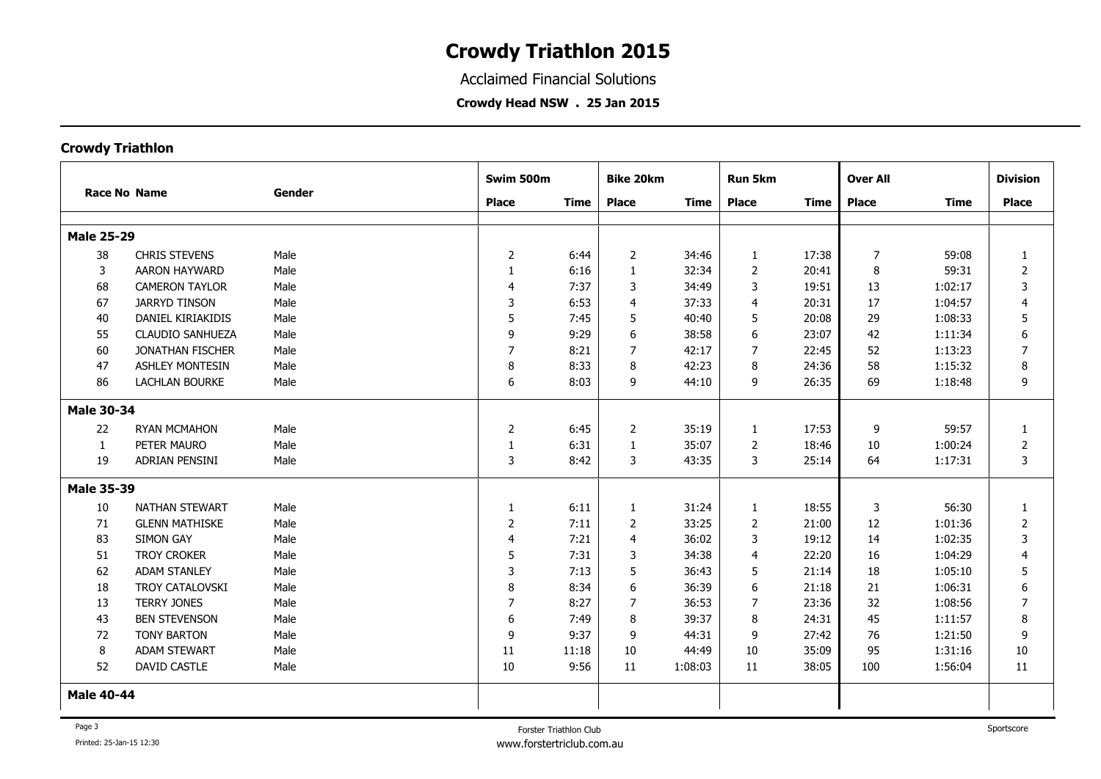Acclaimed Financial Solutions

**Crowdy Head NSW . 25 Jan 2015**

|                   |                         |        | Swim 500m<br><b>Bike 20km</b><br><b>Run 5km</b><br><b>Over All</b> |             |                | <b>Division</b> |                |             |                |             |                |
|-------------------|-------------------------|--------|--------------------------------------------------------------------|-------------|----------------|-----------------|----------------|-------------|----------------|-------------|----------------|
|                   | <b>Race No Name</b>     | Gender | <b>Place</b>                                                       | <b>Time</b> | <b>Place</b>   | <b>Time</b>     | <b>Place</b>   | <b>Time</b> | <b>Place</b>   | <b>Time</b> | <b>Place</b>   |
|                   |                         |        |                                                                    |             |                |                 |                |             |                |             |                |
| <b>Male 25-29</b> |                         |        |                                                                    |             |                |                 |                |             |                |             |                |
| 38                | <b>CHRIS STEVENS</b>    | Male   | $\overline{2}$                                                     | 6:44        | $\overline{2}$ | 34:46           | $\mathbf{1}$   | 17:38       | $\overline{7}$ | 59:08       | $\mathbf{1}$   |
| 3                 | <b>AARON HAYWARD</b>    | Male   | $\mathbf{1}$                                                       | 6:16        | $\mathbf{1}$   | 32:34           | $\overline{2}$ | 20:41       | 8              | 59:31       | $\overline{2}$ |
| 68                | <b>CAMERON TAYLOR</b>   | Male   | $\overline{4}$                                                     | 7:37        | 3              | 34:49           | 3              | 19:51       | 13             | 1:02:17     | 3              |
| 67                | <b>JARRYD TINSON</b>    | Male   | 3                                                                  | 6:53        | $\overline{4}$ | 37:33           | 4              | 20:31       | 17             | 1:04:57     | 4              |
| 40                | DANIEL KIRIAKIDIS       | Male   | 5                                                                  | 7:45        | 5              | 40:40           | 5              | 20:08       | 29             | 1:08:33     | 5              |
| 55                | <b>CLAUDIO SANHUEZA</b> | Male   | 9                                                                  | 9:29        | 6              | 38:58           | 6              | 23:07       | 42             | 1:11:34     | 6              |
| 60                | <b>JONATHAN FISCHER</b> | Male   | 7                                                                  | 8:21        | 7              | 42:17           | 7              | 22:45       | 52             | 1:13:23     | $\overline{ }$ |
| 47                | <b>ASHLEY MONTESIN</b>  | Male   | 8                                                                  | 8:33        | 8              | 42:23           | 8              | 24:36       | 58             | 1:15:32     | 8              |
| 86                | <b>LACHLAN BOURKE</b>   | Male   | 6                                                                  | 8:03        | 9              | 44:10           | 9              | 26:35       | 69             | 1:18:48     | 9              |
| <b>Male 30-34</b> |                         |        |                                                                    |             |                |                 |                |             |                |             |                |
| 22                | <b>RYAN MCMAHON</b>     | Male   | $\overline{2}$                                                     | 6:45        | 2              | 35:19           | $\mathbf{1}$   | 17:53       | 9              | 59:57       | 1              |
| -1                | PETER MAURO             | Male   | 1                                                                  | 6:31        | 1              | 35:07           | $\overline{2}$ | 18:46       | 10             | 1:00:24     | 2              |
| 19                | ADRIAN PENSINI          | Male   | 3                                                                  | 8:42        | 3              | 43:35           | 3              | 25:14       | 64             | 1:17:31     | 3              |
| <b>Male 35-39</b> |                         |        |                                                                    |             |                |                 |                |             |                |             |                |
| 10                | NATHAN STEWART          | Male   | $\mathbf{1}$                                                       | 6:11        | 1              | 31:24           | $\mathbf{1}$   | 18:55       | 3              | 56:30       | $\mathbf{1}$   |
| 71                | <b>GLENN MATHISKE</b>   | Male   | $\overline{2}$                                                     | 7:11        | 2              | 33:25           | $\overline{2}$ | 21:00       | 12             | 1:01:36     | $\overline{2}$ |
| 83                | <b>SIMON GAY</b>        | Male   | $\overline{4}$                                                     | 7:21        | $\overline{4}$ | 36:02           | 3              | 19:12       | 14             | 1:02:35     | 3              |
| 51                | <b>TROY CROKER</b>      | Male   | 5                                                                  | 7:31        | 3              | 34:38           | 4              | 22:20       | 16             | 1:04:29     | $\overline{4}$ |
| 62                | <b>ADAM STANLEY</b>     | Male   | 3                                                                  | 7:13        | 5              | 36:43           | 5              | 21:14       | 18             | 1:05:10     | 5              |
| 18                | <b>TROY CATALOVSKI</b>  | Male   | 8                                                                  | 8:34        | 6              | 36:39           | 6              | 21:18       | 21             | 1:06:31     | 6              |
| 13                | <b>TERRY JONES</b>      | Male   | $\overline{7}$                                                     | 8:27        | 7              | 36:53           | 7              | 23:36       | 32             | 1:08:56     | 7              |
| 43                | <b>BEN STEVENSON</b>    | Male   | 6                                                                  | 7:49        | 8              | 39:37           | 8              | 24:31       | 45             | 1:11:57     | 8              |
| 72                | <b>TONY BARTON</b>      | Male   | 9                                                                  | 9:37        | 9              | 44:31           | 9              | 27:42       | 76             | 1:21:50     | 9              |
| 8                 | <b>ADAM STEWART</b>     | Male   | 11                                                                 | 11:18       | 10             | 44:49           | 10             | 35:09       | 95             | 1:31:16     | 10             |
| 52                | <b>DAVID CASTLE</b>     | Male   | 10                                                                 | 9:56        | 11             | 1:08:03         | 11             | 38:05       | 100            | 1:56:04     | 11             |
| <b>Male 40-44</b> |                         |        |                                                                    |             |                |                 |                |             |                |             |                |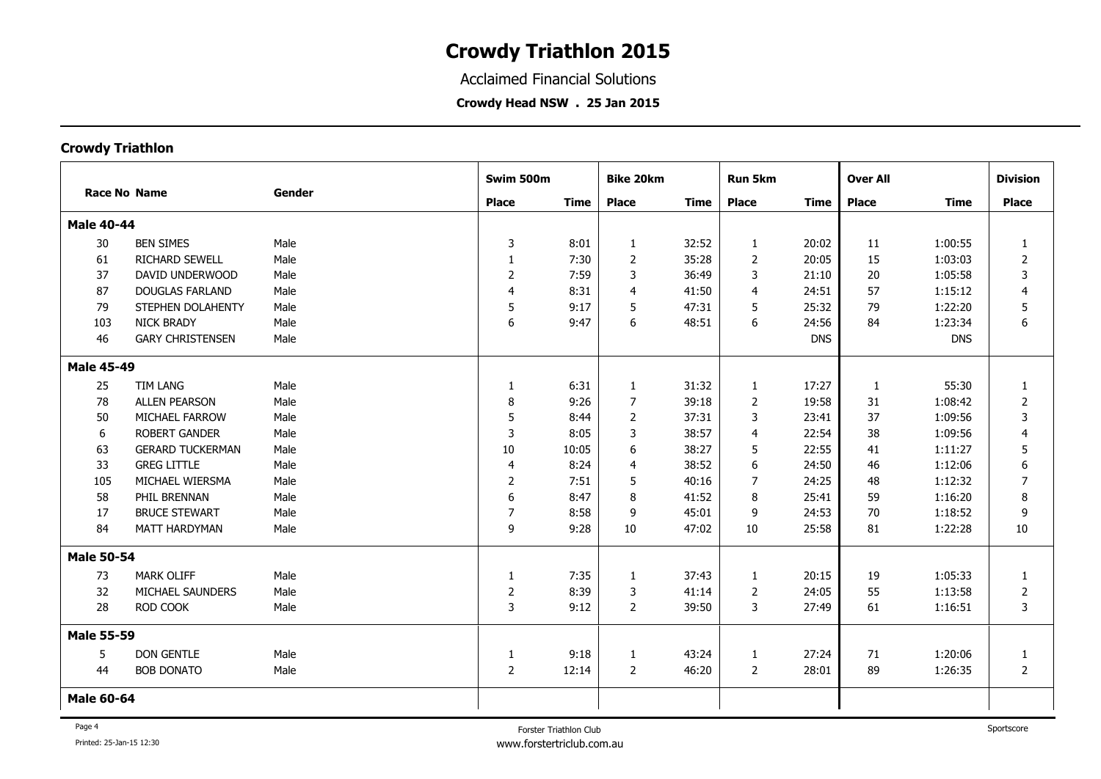Acclaimed Financial Solutions

**Crowdy Head NSW . 25 Jan 2015**

|                     |                         | Gender | Swim 500m      |             | <b>Bike 20km</b> |             | <b>Run 5km</b> |             | <b>Over All</b> |             | <b>Division</b> |
|---------------------|-------------------------|--------|----------------|-------------|------------------|-------------|----------------|-------------|-----------------|-------------|-----------------|
| <b>Race No Name</b> |                         |        | <b>Place</b>   | <b>Time</b> | <b>Place</b>     | <b>Time</b> | <b>Place</b>   | <b>Time</b> | <b>Place</b>    | <b>Time</b> | <b>Place</b>    |
| <b>Male 40-44</b>   |                         |        |                |             |                  |             |                |             |                 |             |                 |
| 30                  | <b>BEN SIMES</b>        | Male   | 3              | 8:01        | 1                | 32:52       | $\mathbf{1}$   | 20:02       | 11              | 1:00:55     | $\mathbf{1}$    |
| 61                  | <b>RICHARD SEWELL</b>   | Male   | $\mathbf{1}$   | 7:30        | 2                | 35:28       | $\overline{2}$ | 20:05       | 15              | 1:03:03     | $\overline{2}$  |
| 37                  | DAVID UNDERWOOD         | Male   | $\overline{2}$ | 7:59        | 3                | 36:49       | 3              | 21:10       | 20              | 1:05:58     | 3               |
| 87                  | <b>DOUGLAS FARLAND</b>  | Male   | $\overline{4}$ | 8:31        | $\overline{4}$   | 41:50       | 4              | 24:51       | 57              | 1:15:12     | $\overline{4}$  |
| 79                  | STEPHEN DOLAHENTY       | Male   | 5              | 9:17        | 5                | 47:31       | 5              | 25:32       | 79              | 1:22:20     | 5               |
| 103                 | <b>NICK BRADY</b>       | Male   | 6              | 9:47        | 6                | 48:51       | 6              | 24:56       | 84              | 1:23:34     | 6               |
| 46                  | <b>GARY CHRISTENSEN</b> | Male   |                |             |                  |             |                | <b>DNS</b>  |                 | <b>DNS</b>  |                 |
| <b>Male 45-49</b>   |                         |        |                |             |                  |             |                |             |                 |             |                 |
| 25                  | <b>TIM LANG</b>         | Male   | $\mathbf{1}$   | 6:31        | 1                | 31:32       | $\mathbf{1}$   | 17:27       | 1               | 55:30       | $\mathbf{1}$    |
| 78                  | <b>ALLEN PEARSON</b>    | Male   | 8              | 9:26        | 7                | 39:18       | $\overline{2}$ | 19:58       | 31              | 1:08:42     | 2               |
| 50                  | MICHAEL FARROW          | Male   | 5              | 8:44        | 2                | 37:31       | 3              | 23:41       | 37              | 1:09:56     | 3               |
| 6                   | <b>ROBERT GANDER</b>    | Male   | 3              | 8:05        | 3                | 38:57       | $\overline{4}$ | 22:54       | 38              | 1:09:56     | $\overline{4}$  |
| 63                  | <b>GERARD TUCKERMAN</b> | Male   | 10             | 10:05       | 6                | 38:27       | 5              | 22:55       | 41              | 1:11:27     | 5               |
| 33                  | <b>GREG LITTLE</b>      | Male   | $\overline{4}$ | 8:24        | 4                | 38:52       | 6              | 24:50       | 46              | 1:12:06     | 6               |
| 105                 | MICHAEL WIERSMA         | Male   | 2              | 7:51        | 5                | 40:16       | $\overline{7}$ | 24:25       | 48              | 1:12:32     | $\overline{7}$  |
| 58                  | PHIL BRENNAN            | Male   | 6              | 8:47        | 8                | 41:52       | 8              | 25:41       | 59              | 1:16:20     | 8               |
| 17                  | <b>BRUCE STEWART</b>    | Male   | 7              | 8:58        | 9                | 45:01       | 9              | 24:53       | 70              | 1:18:52     | 9               |
| 84                  | MATT HARDYMAN           | Male   | 9              | 9:28        | 10               | 47:02       | 10             | 25:58       | 81              | 1:22:28     | 10              |
| <b>Male 50-54</b>   |                         |        |                |             |                  |             |                |             |                 |             |                 |
| 73                  | <b>MARK OLIFF</b>       | Male   | $\mathbf{1}$   | 7:35        | 1                | 37:43       | 1              | 20:15       | 19              | 1:05:33     | 1               |
| 32                  | MICHAEL SAUNDERS        | Male   | 2              | 8:39        | 3                | 41:14       | $\overline{2}$ | 24:05       | 55              | 1:13:58     | 2               |
| 28                  | ROD COOK                | Male   | 3              | 9:12        | 2                | 39:50       | 3              | 27:49       | 61              | 1:16:51     | 3               |
| <b>Male 55-59</b>   |                         |        |                |             |                  |             |                |             |                 |             |                 |
| 5                   | <b>DON GENTLE</b>       | Male   | $\mathbf{1}$   | 9:18        | $\mathbf{1}$     | 43:24       | $\mathbf{1}$   | 27:24       | 71              | 1:20:06     | $\mathbf{1}$    |
| 44                  | <b>BOB DONATO</b>       | Male   | $\overline{2}$ | 12:14       | 2                | 46:20       | $\overline{2}$ | 28:01       | 89              | 1:26:35     | $\overline{2}$  |
| <b>Male 60-64</b>   |                         |        |                |             |                  |             |                |             |                 |             |                 |